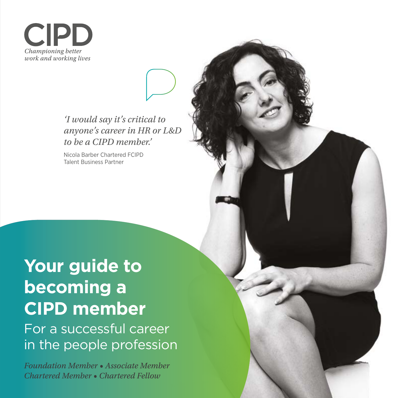**CIP** Championing better work and working lives

> *'I would say it's critical to anyone's career in HR or L&D to be a CIPD member.'*

Nicola Barber Chartered FCIPD Talent Business Partner

# **Your guide to becoming a CIPD member**

For a successful career in the people profession

*Foundation Member • Associate Member Chartered Member • Chartered Fellow*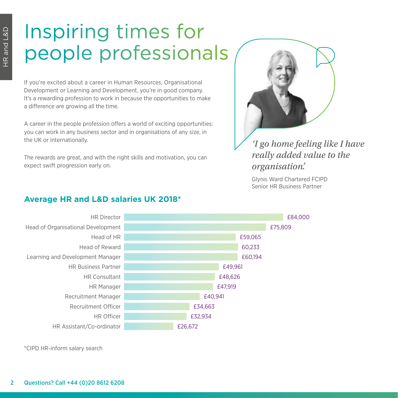# Inspiring times for people professionals

If you're excited about a career in Human Resources, Organisational Development or Learning and Development, you're in good company. It's a rewarding profession to work in because the opportunities to make a difference are growing all the time.

A career in the people profession offers a world of exciting opportunities: you can work in any business sector and in organisations of any size, in the UK or internationally.

The rewards are great, and with the right skills and motivation, you can expect swift progression early on.



# *'I go home feeling like I have really added value to the organisation'.*

Glynis Ward Chartered FCIPD Senior HR Business Partner



# **Average HR and L&D salaries UK 2018\***

\*CIPD HR-inform salary search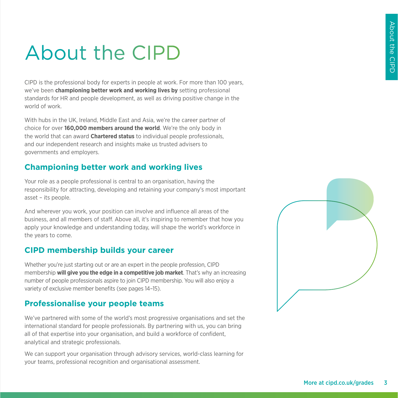# About the CIPD

CIPD is the professional body for experts in people at work. For more than 100 years, we've been **championing better work and working lives by** setting professional standards for HR and people development, as well as driving positive change in the world of work.

With hubs in the UK, Ireland, Middle East and Asia, we're the career partner of choice for over **160,000 members around the world**. We're the only body in the world that can award **Chartered status** to individual people professionals, and our independent research and insights make us trusted advisers to governments and employers.

### **Championing better work and working lives**

Your role as a people professional is central to an organisation, having the responsibility for attracting, developing and retaining your company's most important asset – its people.

And wherever you work, your position can involve and influence all areas of the business, and all members of staff. Above all, it's inspiring to remember that how you apply your knowledge and understanding today, will shape the world's workforce in the years to come.

### **CIPD membership builds your career**

Whether you're just starting out or are an expert in the people profession, CIPD membership **will give you the edge in a competitive job market**. That's why an increasing number of people professionals aspire to join CIPD membership. You will also enjoy a variety of exclusive member benefits (see pages 14–15).

### **Professionalise your people teams**

We've partnered with some of the world's most progressive organisations and set the international standard for people professionals. By partnering with us, you can bring all of that expertise into your organisation, and build a workforce of confident, analytical and strategic professionals.

We can support your organisation through advisory services, world-class learning for your teams, professional recognition and organisational assessment.

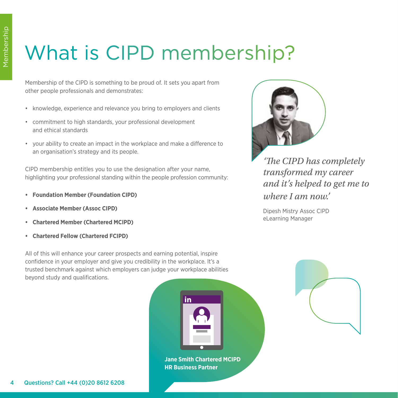# What is CIPD membership?

Membership of the CIPD is something to be proud of. It sets you apart from other people professionals and demonstrates:

- knowledge, experience and relevance you bring to employers and clients
- commitment to high standards, your professional development and ethical standards
- your ability to create an impact in the workplace and make a difference to an organisation's strategy and its people.

CIPD membership entitles you to use the designation after your name, highlighting your professional standing within the people profession community:

- **• Foundation Member (Foundation CIPD)**
- **• Associate Member (Assoc CIPD)**
- **• Chartered Member (Chartered MCIPD)**
- **• Chartered Fellow (Chartered FCIPD)**

All of this will enhance your career prospects and earning potential, inspire confidence in your employer and give you credibility in the workplace. It's a trusted benchmark against which employers can judge your workplace abilities beyond study and qualifications.



**Jane Smith Chartered MCIPD HR Business Partner**



*'The CIPD has completely transformed my career and it's helped to get me to where I am now.'*

Dipesh Mistry Assoc CIPD eLearning Manager

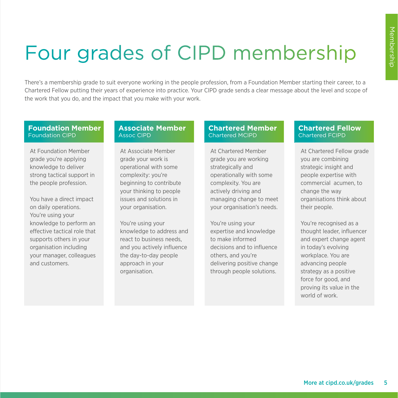# Four grades of CIPD membership

There's a membership grade to suit everyone working in the people profession, from a Foundation Member starting their career, to a Chartered Fellow putting their years of experience into practice. Your CIPD grade sends a clear message about the level and scope of the work that you do, and the impact that you make with your work.

#### **Foundation Member**  Foundation CIPD

At Foundation Member grade you're applying knowledge to deliver strong tactical support in the people profession.

You have a direct impact on daily operations. You're using your knowledge to perform an effective tactical role that supports others in your organisation including your manager, colleagues and customers.

#### **Associate Member**  Assoc CIPD

At Associate Member grade your work is operational with some complexity: you're beginning to contribute your thinking to people issues and solutions in your organisation.

You're using your knowledge to address and react to business needs, and you actively influence the day-to-day people approach in your organisation.

### **Chartered Member**  Chartered MCIPD

At Chartered Member grade you are working strategically and operationally with some complexity. You are actively driving and managing change to meet your organisation's needs.

You're using your expertise and knowledge to make informed decisions and to influence others, and you're delivering positive change through people solutions.

### **Chartered Fellow**  Chartered FCIPD

At Chartered Fellow grade you are combining strategic insight and people expertise with commercial acumen, to change the way organisations think about their people.

You're recognised as a thought leader, influencer and expert change agent in today's evolving workplace. You are advancing people strategy as a positive force for good, and proving its value in the world of work.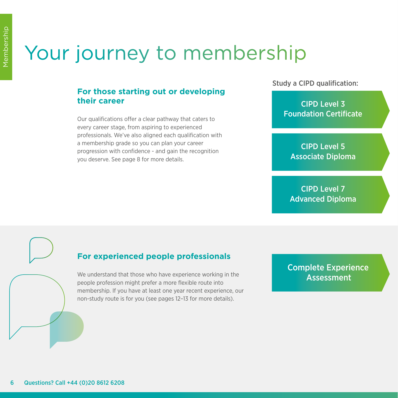# Your journey to membership

# **For those starting out or developing their career**

Our qualifications offer a clear pathway that caters to every career stage, from aspiring to experienced professionals. We've also aligned each qualification with a membership grade so you can plan your career progression with confidence - and gain the recognition you deserve. See page 8 for more details.

Study a CIPD qualification:

CIPD Level 3 Foundation Certificate

CIPD Level 5 Associate Diploma

CIPD Level 7 Advanced Diploma

# **For experienced people professionals**

We understand that those who have experience working in the people profession might prefer a more flexible route into membership. If you have at least one year recent experience, our non-study route is for you (see pages 12–13 for more details).

Complete Experience **Assessment**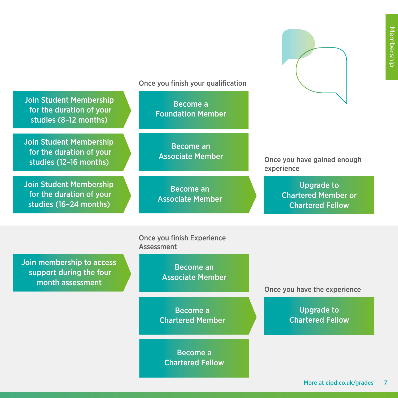Once you finish your qualification

Become a Foundation Member

Become an Associate Member

Become an Associate Member

Once you finish Experience

Assessment

Once you have gained enough experience

> Upgrade to Chartered Member or Chartered Fellow

Join membership to access support during the four month assessment

Join Student Membership for the duration of your studies (8–12 months)

Join Student Membership for the duration of your studies (12–16 months)

Join Student Membership for the duration of your studies (16–24 months)

> Become an Associate Member

Become a Chartered Member

Become a Chartered Fellow Once you have the experience

Upgrade to Chartered Fellow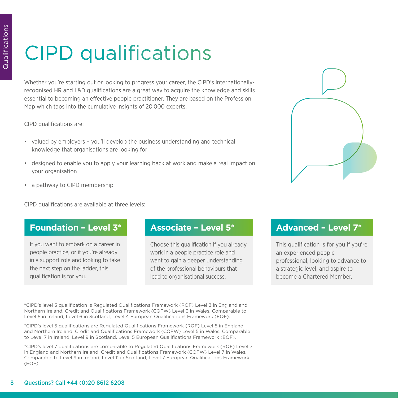# CIPD qualifications

Whether you're starting out or looking to progress your career, the CIPD's internationallyrecognised HR and L&D qualifications are a great way to acquire the knowledge and skills essential to becoming an effective people practitioner. They are based on the Profession Map which taps into the cumulative insights of 20,000 experts.

CIPD qualifications are:

- valued by employers you'll develop the business understanding and technical knowledge that organisations are looking for
- designed to enable you to apply your learning back at work and make a real impact on your organisation
- a pathway to CIPD membership.

CIPD qualifications are available at three levels:

# **Foundation – Level 3\* Associate – Level 5\* Advanced – Level 7\***

If you want to embark on a career in people practice, or if you're already in a support role and looking to take the next step on the ladder, this qualification is for you.

Choose this qualification if you already work in a people practice role and want to gain a deeper understanding of the professional behaviours that lead to organisational success.

This qualification is for you if you're an experienced people professional, looking to advance to a strategic level, and aspire to become a Chartered Member.

\*CIPD's level 3 qualification is Regulated Qualifications Framework (RQF) Level 3 in England and Northern Ireland. Credit and Qualifications Framework (CQFW) Level 3 in Wales. Comparable to Level 5 in Ireland, Level 6 in Scotland, Level 4 European Qualifications Framework (EQF).

\*CIPD's level 5 qualifications are Regulated Qualifications Framework (RQF) Level 5 in England and Northern Ireland. Credit and Qualifications Framework (CQFW) Level 5 in Wales. Comparable to Level 7 in Ireland, Level 9 in Scotland, Level 5 European Qualifications Framework (EQF).

\*CIPD's level 7 qualifications are comparable to Regulated Qualifications Framework (RQF) Level 7 in England and Northern Ireland. Credit and Qualifications Framework (CQFW) Level 7 in Wales. Comparable to Level 9 in Ireland, Level 11 in Scotland, Level 7 European Qualifications Framework (EQF).

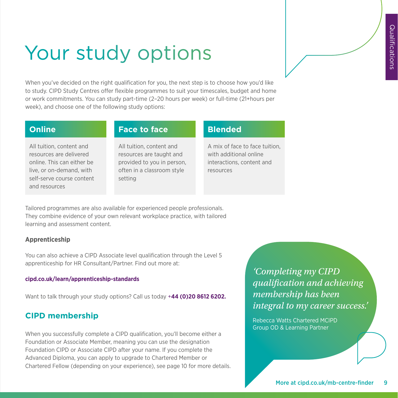# Your study options

When you've decided on the right qualification for you, the next step is to choose how you'd like to study. CIPD Study Centres offer flexible programmes to suit your timescales, budget and home or work commitments. You can study part-time (2–20 hours per week) or full-time (21+hours per week), and choose one of the following study options:

All tuition, content and resources are delivered online. This can either be live, or on-demand, with self-serve course content and resources

### **Online Face to face Blended**

All tuition, content and resources are taught and provided to you in person, often in a classroom style setting

A mix of face to face tuition, with additional online interactions, content and resources

Tailored programmes are also available for experienced people professionals. They combine evidence of your own relevant workplace practice, with tailored learning and assessment content.

### **Apprenticeship**

You can also achieve a CIPD Associate level qualification through the Level 5 apprenticeship for HR Consultant/Partner. Find out more at:

#### **[cipd.co.uk/learn/apprenticeship-standards](https://www.cipd.co.uk/learn/apprenticeship-standards)**

Want to talk through your study options? Call us today +**44 (0)20 8612 6202.**

# **CIPD membership**

When you successfully complete a CIPD qualification, you'll become either a Foundation or Associate Member, meaning you can use the designation Foundation CIPD or Associate CIPD after your name. If you complete the Advanced Diploma, you can apply to upgrade to Chartered Member or Chartered Fellow (depending on your experience), see page 10 for more details.

*'Completing my CIPD qualification and achieving membership has been integral to my career success.'* 

Rebecca Watts Chartered MCIPD Group OD & Learning Partner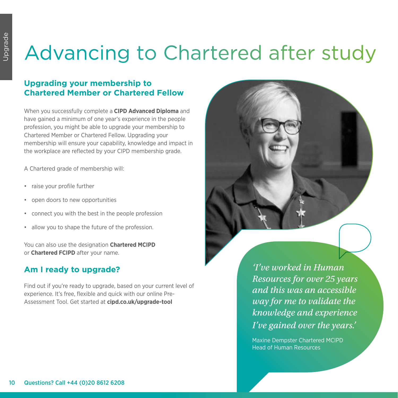# Advancing to Chartered after study

# **Upgrading your membership to Chartered Member or Chartered Fellow**

When you successfully complete a **CIPD Advanced Diploma** and have gained a minimum of one year's experience in the people profession, you might be able to upgrade your membership to Chartered Member or Chartered Fellow. Upgrading your membership will ensure your capability, knowledge and impact in the workplace are reflected by your CIPD membership grade.

A Chartered grade of membership will:

- raise your profile further
- open doors to new opportunities
- connect you with the best in the people profession
- allow you to shape the future of the profession.

You can also use the designation **Chartered MCIPD** or **Chartered FCIPD** after your name.

# **Am I ready to upgrade?**

Find out if you're ready to upgrade, based on your current level of experience. It's free, flexible and quick with our online Pre-Assessment Tool. Get started at **cipd.co.uk/upgrade-tool** 



*'I've worked in Human Resources for over 25 years and this was an accessible way for me to validate the knowledge and experience I've gained over the years.'* 

Maxine Dempster Chartered MCIPD Head of Human Resources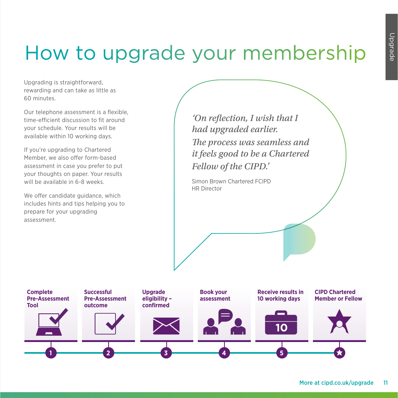# How to upgrade your membership

Upgrading is straightforward, rewarding and can take as little as 60 minutes.

Our telephone assessment is a flexible, time-efficient discussion to fit around your schedule. Your results will be available within 10 working days.

If you're upgrading to Chartered Member, we also offer form-based assessment in case you prefer to put your thoughts on paper. Your results will be available in 6-8 weeks.

We offer candidate guidance, which includes hints and tips helping you to prepare for your upgrading assessment.

*'On reflection, I wish that I had upgraded earlier. The process was seamless and it feels good to be a Chartered Fellow of the CIPD.'* 

Simon Brown Chartered FCIPD HR Director

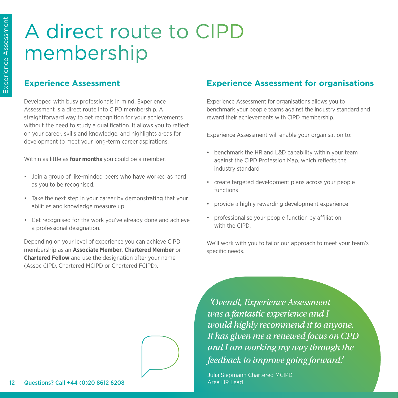# A direct route to CIPD membership

### **Experience Assessment**

Developed with busy professionals in mind, Experience Assessment is a direct route into CIPD membership. A straightforward way to get recognition for your achievements without the need to study a qualification. It allows you to reflect on your career, skills and knowledge, and highlights areas for development to meet your long-term career aspirations.

Within as little as **four months** you could be a member.

- Join a group of like-minded peers who have worked as hard as you to be recognised.
- Take the next step in your career by demonstrating that your abilities and knowledge measure up.
- Get recognised for the work you've already done and achieve a professional designation.

Depending on your level of experience you can achieve CIPD membership as an **Associate Member**, **Chartered Member** or **Chartered Fellow** and use the designation after your name (Assoc CIPD, Chartered MCIPD or Chartered FCIPD).

### **Experience Assessment for organisations**

Experience Assessment for organisations allows you to benchmark your people teams against the industry standard and reward their achievements with CIPD membership.

Experience Assessment will enable your organisation to:

- benchmark the HR and L&D capability within your team against the CIPD Profession Map, which reflects the industry standard
- create targeted development plans across your people functions
- provide a highly rewarding development experience
- professionalise your people function by affiliation with the CIPD.

We'll work with you to tailor our approach to meet your team's specific needs.

 *'Overall, Experience Assessment was a fantastic experience and I would highly recommend it to anyone. It has given me a renewed focus on CPD and I am working my way through the feedback to improve going forward.'*

Julia Siepmann Chartered MCIPD Area HR Lead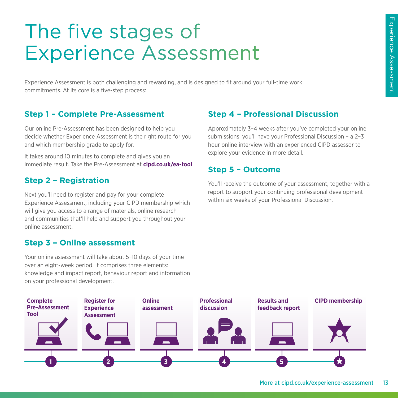# The five stages of Experience Assessment

Experience Assessment is both challenging and rewarding, and is designed to fit around your full-time work commitments. At its core is a five-step process:

### **Step 1 – Complete Pre-Assessment**

Our online Pre-Assessment has been designed to help you decide whether Experience Assessment is the right route for you and which membership grade to apply for.

It takes around 10 minutes to complete and gives you an immediate result. Take the Pre-Assessment at **cipd.co.uk/ea-tool**

### **Step 2 – Registration**

Next you'll need to register and pay for your complete Experience Assessment, including your CIPD membership which will give you access to a range of materials, online research and communities that'll help and support you throughout your online assessment.

### **Step 3 – Online assessment**

Your online assessment will take about 5–10 days of your time over an eight-week period. It comprises three elements: knowledge and impact report, behaviour report and information on your professional development.

# **Step 4 – Professional Discussion**

Approximately 3–4 weeks after you've completed your online submissions, you'll have your Professional Discussion – a 2–3 hour online interview with an experienced CIPD assessor to explore your evidence in more detail.

### **Step 5 – Outcome**

You'll receive the outcome of your assessment, together with a report to support your continuing professional development within six weeks of your Professional Discussion.

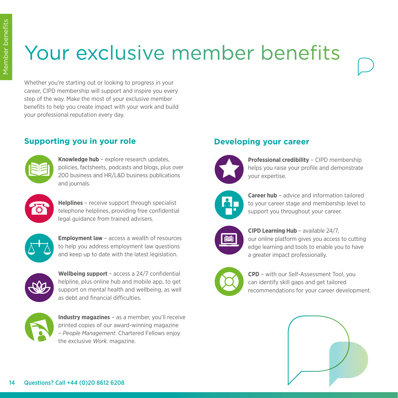# Your exclusive member benefits

Whether you're starting out or looking to progress in your career, CIPD membership will support and inspire you every step of the way. Make the most of your exclusive member benefits to help you create impact with your work and build your professional reputation every day.

# **Supporting you in your role**



**Knowledge hub** – explore research updates, policies, factsheets, podcasts and blogs, plus over 200 business and HR/L&D business publications and journals.



**Helplines** – receive support through specialist telephone helplines, providing free confidential legal guidance from trained advisers.



**Employment law** – access a wealth of resources to help you address employment law questions and keep up to date with the latest legislation.



**Wellbeing support** – access a 24/7 confidential helpline, plus online hub and mobile app, to get support on mental health and wellbeing, as well as debt and financial difficulties.



**Industry magazines** – as a member, you'll receive printed copies of our award-winning magazine – *People Management*. Chartered Fellows enjoy the exclusive *Work.* magazine.

### **Developing your career**



**Professional credibility** – CIPD membership helps you raise your profile and demonstrate your expertise.



**Career hub** – advice and information tailored to your career stage and membership level to support you throughout your career.



**CIPD Learning Hub** – available 24/7, our online platform gives you access to cutting edge learning and tools to enable you to have a greater impact professionally.



**CPD** – with our Self-Assessment Tool, you can identify skill gaps and get tailored recommendations for your career development.

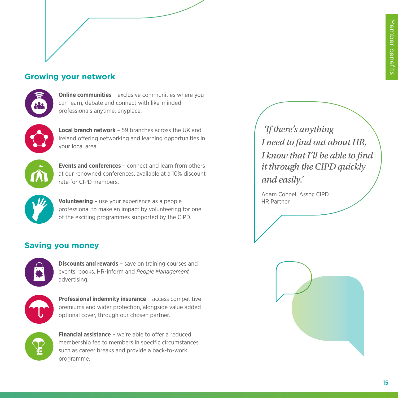# **Growing your network**



**Online communities** – exclusive communities where you can learn, debate and connect with like-minded professionals anytime, anyplace.



**Local branch network** – 59 branches across the UK and Ireland offering networking and learning opportunities in your local area.



**Events and conferences** – connect and learn from others at our renowned conferences, available at a 10% discount rate for CIPD members.



**Volunteering** – use your experience as a people professional to make an impact by volunteering for one of the exciting programmes supported by the CIPD.

# **Saving you money**



**Discounts and rewards** – save on training courses and events, books, HR-inform and *People Management* advertising.



**Professional indemnity insurance** – access competitive premiums and wider protection, alongside value added optional cover, through our chosen partner.



**Financial assistance** – we're able to offer a reduced membership fee to members in specific circumstances such as career breaks and provide a back-to-work programme.

 *'If there's anything I need to find out about HR, I know that I'll be able to find it through the CIPD quickly and easily.'*

Adam Connell Assoc CIPD HR Partner